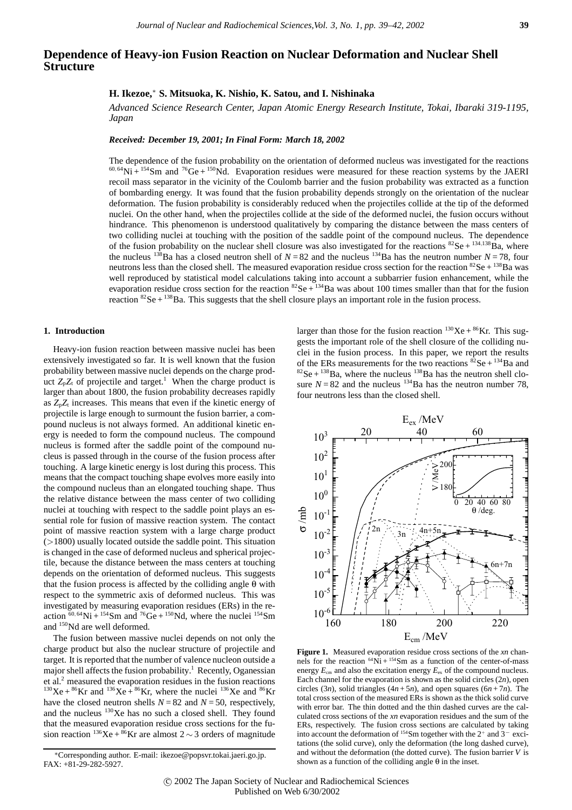# **Dependence of Heavy-ion Fusion Reaction on Nuclear Deformation and Nuclear Shell Structure**

## **H. Ikezoe,**<sup>∗</sup> **S. Mitsuoka, K. Nishio, K. Satou, and I. Nishinaka**

*Advanced Science Research Center, Japan Atomic Energy Research Institute, Tokai, Ibaraki 319-1195, Japan*

#### *Received: December 19, 2001; In Final Form: March 18, 2002*

The dependence of the fusion probability on the orientation of deformed nucleus was investigated for the reactions  $^{60,64}$ Ni +  $^{154}$ Sm and  $^{76}$ Ge +  $^{150}$ Nd. Evaporation residues were measured for these reaction systems by the JAERI recoil mass separator in the vicinity of the Coulomb barrier and the fusion probability was extracted as a function of bombarding energy. It was found that the fusion probability depends strongly on the orientation of the nuclear deformation. The fusion probability is considerably reduced when the projectiles collide at the tip of the deformed nuclei. On the other hand, when the projectiles collide at the side of the deformed nuclei, the fusion occurs without hindrance. This phenomenon is understood qualitatively by comparing the distance between the mass centers of two colliding nuclei at touching with the position of the saddle point of the compound nucleus. The dependence of the fusion probability on the nuclear shell closure was also investigated for the reactions  ${}^{82}Se + {}^{134,138}Ba$ , where the nucleus <sup>138</sup>Ba has a closed neutron shell of  $N = 82$  and the nucleus <sup>134</sup>Ba has the neutron number  $N = 78$ , four neutrons less than the closed shell. The measured evaporation residue cross section for the reaction  ${}^{82}Se + {}^{138}Ba$  was well reproduced by statistical model calculations taking into account a subbarrier fusion enhancement, while the evaporation residue cross section for the reaction  ${}^{82}Se + {}^{134}Ba$  was about 100 times smaller than that for the fusion reaction  ${}^{82}$ Se +  ${}^{138}$ Ba. This suggests that the shell closure plays an important role in the fusion process.

## **1. Introduction**

Heavy-ion fusion reaction between massive nuclei has been extensively investigated so far. It is well known that the fusion probability between massive nuclei depends on the charge product  $Z_pZ_t$  of projectile and target.<sup>1</sup> When the charge product is larger than about 1800, the fusion probability decreases rapidly as *Z*p*Z*<sup>t</sup> increases. This means that even if the kinetic energy of projectile is large enough to surmount the fusion barrier, a compound nucleus is not always formed. An additional kinetic energy is needed to form the compound nucleus. The compound nucleus is formed after the saddle point of the compound nucleus is passed through in the course of the fusion process after touching. A large kinetic energy is lost during this process. This means that the compact touching shape evolves more easily into the compound nucleus than an elongated touching shape. Thus the relative distance between the mass center of two colliding nuclei at touching with respect to the saddle point plays an essential role for fusion of massive reaction system. The contact point of massive reaction system with a large charge product (*>*1800) usually located outside the saddle point. This situation is changed in the case of deformed nucleus and spherical projectile, because the distance between the mass centers at touching depends on the orientation of deformed nucleus. This suggests that the fusion process is affected by the colliding angle θ with respect to the symmetric axis of deformed nucleus. This was investigated by measuring evaporation residues (ERs) in the reaction  $\frac{60,64}{\text{Ni} + \frac{154}{\text{Sm}}}$  and  $\frac{76}{\text{Ge} + \frac{150}{\text{Nd}}}$ , where the nuclei  $\frac{154}{\text{Sm}}$ and 150Nd are well deformed.

The fusion between massive nuclei depends on not only the charge product but also the nuclear structure of projectile and target. It is reported that the number of valence nucleon outside a major shell affects the fusion probability.<sup>1</sup> Recently, Oganessian et al.<sup>2</sup> measured the evaporation residues in the fusion reactions <sup>130</sup>Xe + <sup>86</sup>Kr and <sup>136</sup>Xe + <sup>86</sup>Kr, where the nuclei <sup>136</sup>Xe and <sup>86</sup>Kr have the closed neutron shells  $N = 82$  and  $N = 50$ , respectively, and the nucleus 130Xe has no such a closed shell. They found that the measured evaporation residue cross sections for the fusion reaction <sup>136</sup>Xe + <sup>86</sup>Kr are almost 2 ~ 3 orders of magnitude

larger than those for the fusion reaction  $130Xe + 86Kr$ . This suggests the important role of the shell closure of the colliding nuclei in the fusion process. In this paper, we report the results of the ERs measurements for the two reactions  ${}^{82}Se + {}^{134}Ba$  and  ${}^{82}$ Se +  ${}^{138}$ Ba, where the nucleus  ${}^{138}$ Ba has the neutron shell closure  $N = 82$  and the nucleus <sup>134</sup>Ba has the neutron number 78, four neutrons less than the closed shell.



**Figure 1.** Measured evaporation residue cross sections of the *xn* channels for the reaction  $^{64}$ Ni +  $^{154}$ Sm as a function of the center-of-mass energy  $E_{cm}$  and also the excitation energy  $E_{ex}$  of the compound nucleus. Each channel for the evaporation is shown as the solid circles  $(2n)$ , open circles (3*n*), solid triangles ( $4n + 5n$ ), and open squares ( $6n + 7n$ ). The total cross section of the measured ERs is shown as the thick solid curve with error bar. The thin dotted and the thin dashed curves are the calculated cross sections of the *xn* evaporation residues and the sum of the ERs, respectively. The fusion cross sections are calculated by taking into account the deformation of 154Sm together with the 2<sup>+</sup> and 3*<sup>−</sup>* excitations (the solid curve), only the deformation (the long dashed curve), and without the deformation (the dotted curve). The fusion barrier *V* is shown as a function of the colliding angle  $\theta$  in the inset.

<sup>∗</sup>Corresponding author. E-mail: ikezoe@popsvr.tokai.jaeri.go.jp. FAX: +81-29-282-5927.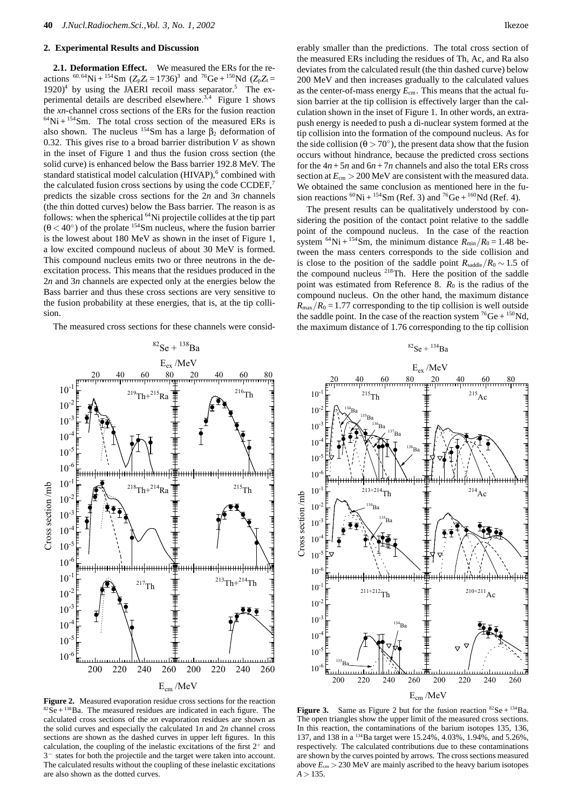### **2. Experimental Results and Discussion**

**2.1. Deformation Effect.** We measured the ERs for the reactions <sup>60,64</sup>Ni + <sup>154</sup>Sm ( $Z_pZ_t$  = 1736)<sup>3</sup> and <sup>76</sup>Ge + <sup>150</sup>Nd ( $Z_pZ_t$  =  $1920$ <sup>4</sup> by using the JAERI recoil mass separator.<sup>5</sup> The experimental details are described elsewhere.<sup>3,4</sup> Figure 1 shows the *xn*-channel cross sections of the ERs for the fusion reaction  $64$ Ni +  $154$ Sm. The total cross section of the measured ERs is also shown. The nucleus  $154$ Sm has a large  $\beta_2$  deformation of 0.32. This gives rise to a broad barrier distribution *V* as shown in the inset of Figure 1 and thus the fusion cross section (the solid curve) is enhanced below the Bass barrier 192.8 MeV. The standard statistical model calculation (HIVAP),<sup>6</sup> combined with the calculated fusion cross sections by using the code CCDEF,<sup>7</sup> predicts the sizable cross sections for the 2*n* and 3*n* channels (the thin dotted curves) below the Bass barrier. The reason is as follows: when the spherical <sup>64</sup>Ni projectile collides at the tip part  $(\theta < 40^\circ)$  of the prolate <sup>154</sup>Sm nucleus, where the fusion barrier is the lowest about 180 MeV as shown in the inset of Figure 1, a low excited compound nucleus of about 30 MeV is formed. This compound nucleus emits two or three neutrons in the deexcitation process. This means that the residues produced in the 2*n* and 3*n* channels are expected only at the energies below the Bass barrier and thus these cross sections are very sensitive to the fusion probability at these energies, that is, at the tip collision.

The measured cross sections for these channels were consid-



**Figure 2.** Measured evaporation residue cross sections for the reaction  $82$  Se +  $138$  Ba. The measured residues are indicated in each figure. The calculated cross sections of the *xn* evaporation residues are shown as the solid curves and especially the calculated 1*n* and 2*n* channel cross sections are shown as the dashed curves in upper left figures. In this calculation, the coupling of the inelastic excitations of the first  $2^+$  and 3*<sup>−</sup>* states for both the projectile and the target were taken into account. The calculated results without the coupling of these inelastic excitations are also shown as the dotted curves.

erably smaller than the predictions. The total cross section of the measured ERs including the residues of Th, Ac, and Ra also deviates from the calculated result (the thin dashed curve) below 200 MeV and then increases gradually to the calculated values as the center-of-mass energy  $E_{cm}$ . This means that the actual fusion barrier at the tip collision is effectively larger than the calculation shown in the inset of Figure 1. In other words, an extrapush energy is needed to push a di-nuclear system formed at the tip collision into the formation of the compound nucleus. As for the side collision ( $\theta$  > 70°), the present data show that the fusion occurs without hindrance, because the predicted cross sections for the  $4n + 5n$  and  $6n + 7n$  channels and also the total ERs cross section at *E*cm *>* 200 MeV are consistent with the measured data. We obtained the same conclusion as mentioned here in the fusion reactions <sup>60</sup>Ni + <sup>154</sup>Sm (Ref. 3) and <sup>76</sup>Ge + <sup>160</sup>Nd (Ref. 4).

The present results can be qualitatively understood by considering the position of the contact point relative to the saddle point of the compound nucleus. In the case of the reaction system <sup>64</sup>Ni + <sup>154</sup>Sm, the minimum distance  $R_{\text{min}}/R_0 = 1.48$  between the mass centers corresponds to the side collision and is close to the position of the saddle point  $R_{\text{saddle}}/R_0 \sim 1.5$  of the compound nucleus 218Th. Here the position of the saddle point was estimated from Reference 8. *R*<sup>0</sup> is the radius of the compound nucleus. On the other hand, the maximum distance  $R_{\text{max}}/R_0 = 1.77$  corresponding to the tip collision is well outside the saddle point. In the case of the reaction system  ${}^{76}Ge + {}^{150}Nd$ , the maximum distance of 1.76 corresponding to the tip collision



**Figure 3.** Same as Figure 2 but for the fusion reaction  ${}^{82}$ Se +  ${}^{134}$ Ba. The open triangles show the upper limit of the measured cross sections. In this reaction, the contaminations of the barium isotopes 135, 136, 137, and 138 in a 134Ba target were 15.24%, 4.03%, 1.94%, and 5.26%, respectively. The calculated contributions due to these contaminations are shown by the curves pointed by arrows. The cross sections measured above  $E_{cm}$   $>$  230 MeV are mainly ascribed to the heavy barium isotopes *A >* 135.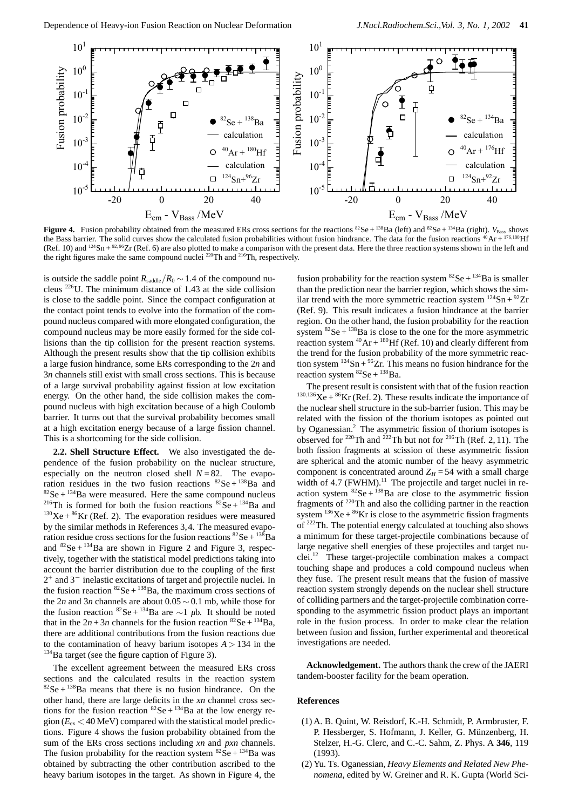

**Figure 4.** Fusion probability obtained from the measured ERs cross sections for the reactions  ${}^{82}Se + {}^{138}Ba$  (left) and  ${}^{82}Se + {}^{134}Ba$  (right).  $V_{\text{Base}}$  shows the Bass barrier. The solid curves show the calculated fusion probabilities without fusion hindrance. The data for the fusion reactions <sup>40</sup>Ar + <sup>176</sup>,<sup>180</sup>Hf (Ref. 10) and <sup>124</sup>Sn + <sup>92, 96</sup>Zr (Ref. 6) are also plotted to make a comparison with the present data. Here the three reaction systems shown in the left and the right figures make the same compound nuclei 220Th and 216Th, respectively.

is outside the saddle point  $R_{\text{saddle}}/R_0 \sim 1.4$  of the compound nucleus  $226$ U. The minimum distance of 1.43 at the side collision is close to the saddle point. Since the compact configuration at the contact point tends to evolve into the formation of the compound nucleus compared with more elongated configuration, the compound nucleus may be more easily formed for the side collisions than the tip collision for the present reaction systems. Although the present results show that the tip collision exhibits a large fusion hindrance, some ERs corresponding to the 2*n* and 3*n* channels still exist with small cross sections. This is because of a large survival probability against fission at low excitation energy. On the other hand, the side collision makes the compound nucleus with high excitation because of a high Coulomb barrier. It turns out that the survival probability becomes small at a high excitation energy because of a large fission channel. This is a shortcoming for the side collision.

**2.2. Shell Structure Effect.** We also investigated the dependence of the fusion probability on the nuclear structure, especially on the neutron closed shell  $N = 82$ . The evaporation residues in the two fusion reactions  ${}^{82}$ Se +  ${}^{138}$ Ba and  $82$ Se +  $134$ Ba were measured. Here the same compound nucleus <sup>216</sup>Th is formed for both the fusion reactions  ${}^{82}$ Se + <sup>134</sup>Ba and  $130Xe + 86Kr$  (Ref. 2). The evaporation residues were measured by the similar methods in References 3,4. The measured evaporation residue cross sections for the fusion reactions  ${}^{82}Se + {}^{138}Ba$ and  ${}^{82}$ Se +  ${}^{134}$ Ba are shown in Figure 2 and Figure 3, respectively, together with the statistical model predictions taking into account the barrier distribution due to the coupling of the first 2<sup>+</sup> and 3<sup>−</sup> inelastic excitations of target and projectile nuclei. In the fusion reaction  ${}^{82}$ Se +  ${}^{138}$ Ba, the maximum cross sections of the 2*n* and 3*n* channels are about 0.05 ∼ 0.1 mb, while those for the fusion reaction 82Se + 134Ba are <sup>∼</sup>1 *µ*b. It should be noted that in the  $2n + 3n$  channels for the fusion reaction  ${}^{82}Se + {}^{134}Ba$ , there are additional contributions from the fusion reactions due to the contamination of heavy barium isotopes  $A > 134$  in the <sup>134</sup>Ba target (see the figure caption of Figure 3).

The excellent agreement between the measured ERs cross sections and the calculated results in the reaction system  $82$ Se +  $138$ Ba means that there is no fusion hindrance. On the other hand, there are large deficits in the *xn* channel cross sections for the fusion reaction  ${}^{82}$ Se +  ${}^{134}$ Ba at the low energy region  $(E_{ex} < 40 \text{ MeV})$  compared with the statistical model predictions. Figure 4 shows the fusion probability obtained from the sum of the ERs cross sections including *xn* and *pxn* channels. The fusion probability for the reaction system  ${}^{82}Se + {}^{134}Ba$  was obtained by subtracting the other contribution ascribed to the heavy barium isotopes in the target. As shown in Figure 4, the fusion probability for the reaction system  ${}^{82}Se + {}^{134}Ba$  is smaller than the prediction near the barrier region, which shows the similar trend with the more symmetric reaction system  $124$ Sn +  $92$ Zr (Ref. 9). This result indicates a fusion hindrance at the barrier region. On the other hand, the fusion probability for the reaction system  ${}^{82}$ Se +  ${}^{138}$ Ba is close to the one for the more asymmetric reaction system  ${}^{40}Ar + {}^{180}Hf$  (Ref. 10) and clearly different from the trend for the fusion probability of the more symmetric reaction system  $124$ Sn +  $96$ Zr. This means no fusion hindrance for the reaction system  ${}^{82}$ Se +  ${}^{138}$ Ba.

The present result is consistent with that of the fusion reaction  $^{130,136}$ Xe +  $^{86}$ Kr (Ref. 2). These results indicate the importance of the nuclear shell structure in the sub-barrier fusion. This may be related with the fission of the thorium isotopes as pointed out by Oganessian.<sup>2</sup> The asymmetric fission of thorium isotopes is observed for  $220$ Th and  $222$ Th but not for  $216$ Th (Ref. 2, 11). The both fission fragments at scission of these asymmetric fission are spherical and the atomic number of the heavy asymmetric component is concentrated around  $Z_H = 54$  with a small charge width of 4.7 (FWHM).<sup>11</sup> The projectile and target nuclei in reaction system  ${}^{82}$ Se +  ${}^{138}$ Ba are close to the asymmetric fission fragments of 220Th and also the colliding partner in the reaction system  $136Xe + 86Kr$  is close to the asymmetric fission fragments of 222Th. The potential energy calculated at touching also shows a minimum for these target-projectile combinations because of large negative shell energies of these projectiles and target nuclei.<sup>12</sup> These target-projectile combination makes a compact touching shape and produces a cold compound nucleus when they fuse. The present result means that the fusion of massive reaction system strongly depends on the nuclear shell structure of colliding partners and the target-projectile combination corresponding to the asymmetric fission product plays an important role in the fusion process. In order to make clear the relation between fusion and fission, further experimental and theoretical investigations are needed.

**Acknowledgement.** The authors thank the crew of the JAERI tandem-booster facility for the beam operation.

#### **References**

- (1) A. B. Quint, W. Reisdorf, K.-H. Schmidt, P. Armbruster, F. P. Hessberger, S. Hofmann, J. Keller, G. Münzenberg, H. Stelzer, H.-G. Clerc, and C.-C. Sahm, Z. Phys. A **346**, 119 (1993).
- (2) Yu. Ts. Oganessian, *Heavy Elements and Related New Phenomena*, edited by W. Greiner and R. K. Gupta (World Sci-